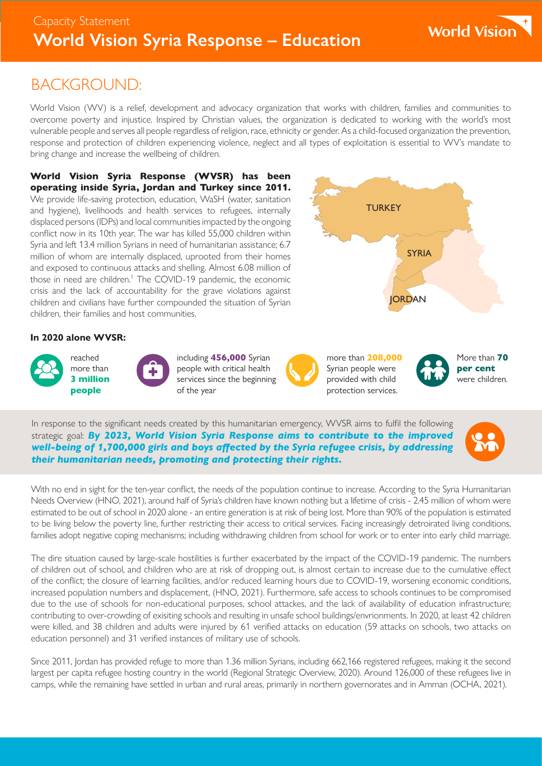### BACKGROUND:

World Vision (WV) is a relief, development and advocacy organization that works with children, families and communities to overcome poverty and injustice. Inspired by Christian values, the organization is dedicated to working with the world's most vulnerable people and serves all people regardless of religion, race, ethnicity or gender. As a child-focused organization the prevention, response and protection of children experiencing violence, neglect and all types of exploitation is essential to WV's mandate to bring change and increase the wellbeing of children.

World Vision Syria Response (WVSR) has been operating inside Syria, Jordan and Turkey since 2011. We provide life-saving protection, education, WaSH (water, sanitation and hygiene), livelihoods and health services to refugees, internally displaced persons (IDPs) and local communities impacted by the ongoing conflict now in its 10th year. The war has killed 55,000 children within Syria and left 13.4 million Syrians in need of humanitarian assistance; 6.7 million of whom are internally displaced, uprooted from their homes and exposed to continuous attacks and shelling. Almost 6.08 million of those in need are children.<sup>1</sup> The COVID-19 pandemic, the economic crisis and the lack of accountability for the grave violations against children and civilians have further compounded the situation of Syrian children, their families and host communities.

### **In 2020 alone WVSR:**







including 456,000 Syrian people with critical health services since the beginning of the year



more than 208,000 Syrian people were provided with child protection services.

**TURKEY** 

**SYRIA** 

**JORDAN** 



More than **70** 

In response to the significant needs created by this humanitarian emergency, WVSR aims to fulfil the following strategic goal: *By 2023, World Vision Syria Response aims to contribute to the improved well-being of 1,700,000 girls and boys affected by the Syria refugee crisis, by addressing their humanitarian needs, promoting and protecting their rights.* 



With no end in sight for the ten-year conflict, the needs of the population continue to increase. According to the Syria Humanitarian Needs Overview (HNO, 2021), around half of Syria's children have known nothing but a lifetime of crisis - 2.45 million of whom were estimated to be out of school in 2020 alone - an entire generation is at risk of being lost. More than 90% of the population is estimated to be living below the poverty line, further restricting their access to critical services. Facing increasingly detroirated living conditions, families adopt negative coping mechanisms; including withdrawing children from school for work or to enter into early child marriage.

The dire situation caused by large-scale hostilities is further exacerbated by the impact of the COVID-19 pandemic. The numbers of children out of school, and children who are at risk of dropping out, is almost certain to increase due to the cumulative effect of the conflict; the closure of learning facilities, and/or reduced learning hours due to COVID-19, worsening economic conditions, increased population numbers and displacement, (HNO, 2021). Furthermore, safe access to schools continues to be compromised due to the use of schools for non-educational purposes, school attackes, and the lack of availability of education infrastructure; contributing to over-crowding of exisiting schools and resulting in unsafe school buildings/envrionments. In 2020, at least 42 children were killed, and 38 children and adults were injured by 61 verified attacks on education (59 attacks on schools, two attacks on education personnel) and 31 verified instances of military use of schools.

Since 2011, Jordan has provided refuge to more than 1.36 million Syrians, including 662,166 registered refugees, making it the second largest per capita refugee hosting country in the world (Regional Strategic Overview, 2020). Around 126,000 of these refugees live in camps, while the remaining have settled in urban and rural areas, primarily in northern governorates and in Amman (OCHA, 2021).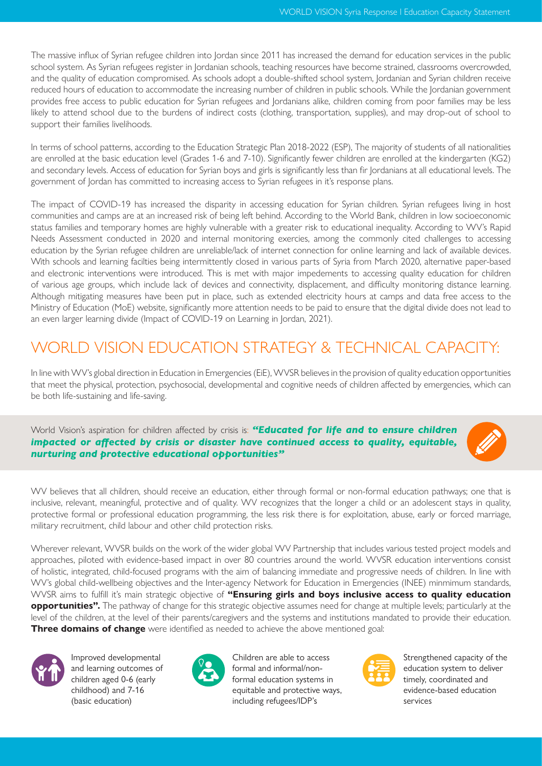The massive influx of Syrian refugee children into Jordan since 2011 has increased the demand for education services in the public school system. As Syrian refugees register in Jordanian schools, teaching resources have become strained, classrooms overcrowded, and the quality of education compromised. As schools adopt a double-shifted school system, Jordanian and Syrian children receive reduced hours of education to accommodate the increasing number of children in public schools. While the Jordanian government provides free access to public education for Syrian refugees and Jordanians alike, children coming from poor families may be less likely to attend school due to the burdens of indirect costs (clothing, transportation, supplies), and may drop-out of school to support their families livelihoods.

In terms of school patterns, according to the Education Strategic Plan 2018-2022 (ESP), The majority of students of all nationalities are enrolled at the basic education level (Grades 1-6 and 7-10). Significantly fewer children are enrolled at the kindergarten (KG2) and secondary levels. Access of education for Syrian boys and girls is significantly less than fir Jordanians at all educational levels. The government of Jordan has committed to increasing access to Syrian refugees in it's response plans.

The impact of COVID-19 has increased the disparity in accessing education for Syrian children. Syrian refugees living in host communities and camps are at an increased risk of being left behind. According to the World Bank, children in low socioeconomic status families and temporary homes are highly vulnerable with a greater risk to educational inequality. According to WV's Rapid Needs Assessment conducted in 2020 and internal monitoring exercies, among the commonly cited challenges to accessing education by the Syrian refugee children are unreliable/lack of internet connection for online learning and lack of available devices. With schools and learning facilties being intermittently closed in various parts of Syria from March 2020, alternative paper-based and electronic interventions were introduced. This is met with major impedements to accessing quality education for children of various age groups, which include lack of devices and connectivity, displacement, and difficulty monitoring distance learning. Although mitigating measures have been put in place, such as extended electricity hours at camps and data free access to the Ministry of Education (MoE) website, significantly more attention needs to be paid to ensure that the digital divide does not lead to an even larger learning divide (Impact of COVID-19 on Learning in Jordan, 2021).

## WORLD VISION EDUCATION STRATEGY & TECHNICAL CAPACITY:

In line with WV's global direction in Education in Emergencies (EiE), WVSR believes in the provision of quality education opportunities that meet the physical, protection, psychosocial, developmental and cognitive needs of children affected by emergencies, which can be both life-sustaining and life-saving.

World Vision's aspiration for children affected by crisis is: *"Educated for life and to ensure children impacted or affected by crisis or disaster have continued access to quality, equitable, nurturing and protective educational opportunities"* 



WV believes that all children, should receive an education, either through formal or non-formal education pathways; one that is inclusive, relevant, meaningful, protective and of quality. WV recognizes that the longer a child or an adolescent stays in quality, protective formal or professional education programming, the less risk there is for exploitation, abuse, early or forced marriage, military recruitment, child labour and other child protection risks.

Wherever relevant, WVSR builds on the work of the wider global WV Partnership that includes various tested project models and approaches, piloted with evidence-based impact in over 80 countries around the world. WVSR education interventions consist of holistic, integrated, child-focused programs with the aim of balancing immediate and progressive needs of children. In line with WV's global child-wellbeing objectives and the Inter-agency Network for Education in Emergencies (INEE) minmimum standards, WVSR aims to fulfill it's main strategic objective of **"Ensuring girls and boys inclusive access to quality education opportunities".** The pathway of change for this strategic objective assumes need for change at multiple levels; particularly at the level of the children, at the level of their parents/caregivers and the systems and institutions mandated to provide their education. **Three domains of change** were identified as needed to achieve the above mentioned goal:



Improved developmental and learning outcomes of children aged 0-6 (early childhood) and 7-16 (basic education)



Children are able to access formal and informal/nonformal education systems in equitable and protective ways, including refugees/IDP's



Strengthened capacity of the education system to deliver timely, coordinated and evidence-based education services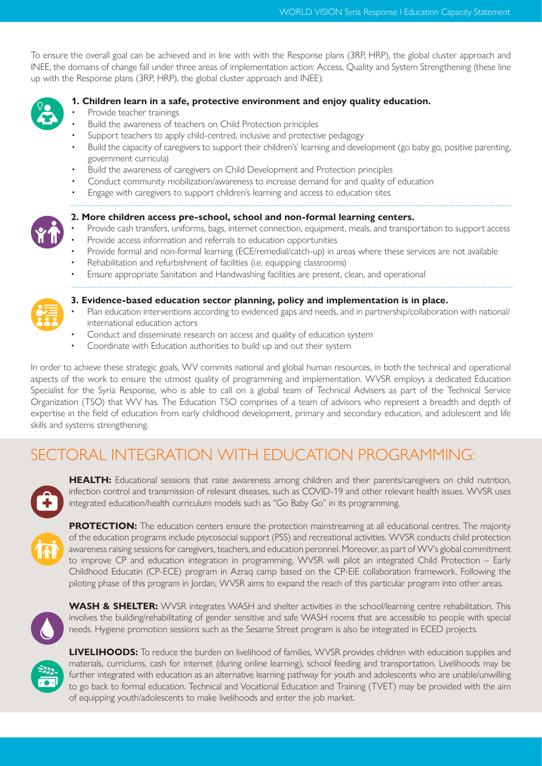To ensure the overall goal can be achieved and in line with with the Response plans (3RP, HRP), the global cluster approach and INEE, the domains of change fall under three areas of implementation action: Access, Quality and System Strengthening (these line up with the Response plans (3RP, HRP), the global cluster approach and INEE):



#### **1. Children learn in a safe, protective environment and enjoy quality education.**

- Provide teacher trainings
- Build the awareness of teachers on Child Protection principles
- Support teachers to apply child-centred, inclusive and protective pedagogy
- Build the capacity of caregivers to support their children's' learning and development (go baby go, positive parenting, government curricula)
- Build the awareness of caregivers on Child Development and Protection principles
- Conduct community mobilization/awareness to increase demand for and quality of education
- Engage with caregivers to support children's learning and access to education sites



#### **2. More children access pre-school, school and non-formal learning centers.**

- Provide cash transfers, uniforms, bags, internet connection, equipment, meals, and transportation to support access
- Provide access information and referrals to education opportunities
- Provide formal and non-formal learning (ECE/remedial/catch-up) in areas where these services are not available
- Rehabilitation and refurbishment of facilities (i.e. equipping classrooms)
- Ensure appropriate Sanitation and Handwashing facilities are present, clean, and operational



#### **3. Evidence-based education sector planning, policy and implementation is in place.**

- Plan education interventions according to evidenced gaps and needs, and in partnership/collaboration with national/ international education actors
- Conduct and disseminate research on access and quality of education system
- Coordinate with Education authorities to build up and out their system

In order to achieve these strategic goals, WV commits national and global human resources, in both the technical and operational aspects of the work to ensure the utmost quality of programming and implementation. WVSR employs a dedicated Education Specialist for the Syria Response, who is able to call on a global team of Technical Advisers as part of the Technical Service Organization (TSO) that WV has. The Education TSO comprises of a team of advisors who represent a breadth and depth of expertise in the field of education from early childhood development, primary and secondary education, and adolescent and life skills and systems strengthening.

## SECTORAL INTEGRATION WITH EDUCATION PROGRAMMING:



**HEALTH:** Educational sessions that raise awareness among children and their parents/caregivers on child nutrition, infection control and transmission of relevant diseases, such as COVID-19 and other relevant health issues. WVSR uses integrated education/health curriculum models such as "Go Baby Go" in its programming.



**PROTECTION:** The education centers ensure the protection mainstreaming at all educational centres. The majority of the education programs include psycosocial support (PSS) and recreational activities. WVSR conducts child protection awareness raising sessions for caregivers, teachers, and education peronnel. Moreover, as part of WV's global commitment to improve CP and education integration in programming, WVSR will pilot an integrated Child Protection – Early Childhood Educatin (CP-ECE) program in Azraq camp based on the CP-EiE collaboration framework. Following the piloting phase of this program in Jordan, WVSR aims to expand the reach of this particular program into other areas.



**WASH & SHELTER:** WVSR integrates WASH and shelter activities in the school/learning centre rehabilitation. This involves the building/rehabilitating of gender sensitive and safe WASH rooms that are accessible to people with special needs. Hygiene promotion sessions such as the Sesame Street program is also be integrated in ECED projects.



**LIVELIHOODS:** To reduce the burden on livelihood of families, WVSR provides children with education supplies and materials, curriclums, cash for internet (during online learning), school feeding and transportation. Livelihoods may be further integrated with education as an alternative learning pathway for youth and adolescents who are unable/unwilling to go back to formal education. Technical and Vocational Education and Training (TVET) may be provided with the aim of equipping youth/adolescents to make livelihoods and enter the job market.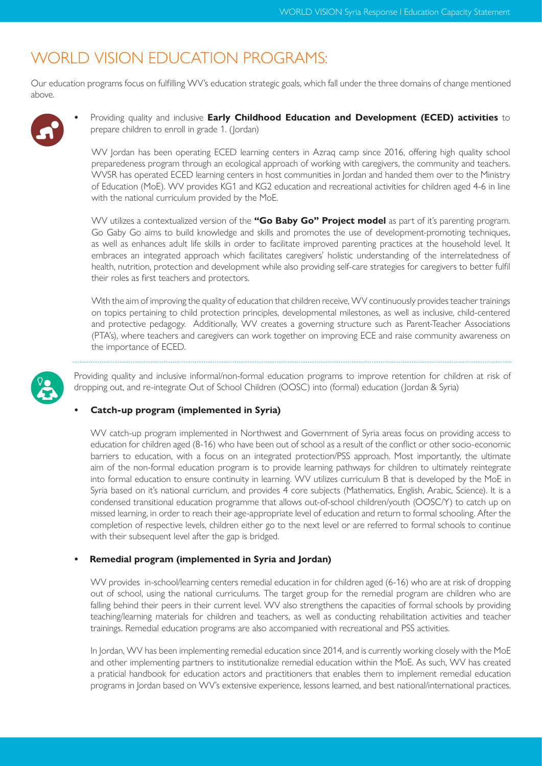### WORLD VISION EDUCATION PROGRAMS:

Our education programs focus on fulfilling WV's education strategic goals, which fall under the three domains of change mentioned above.



**•** Providing quality and inclusive **Early Childhood Education and Development (ECED) activities** to prepare children to enroll in grade 1. (Jordan)

WV Jordan has been operating ECED learning centers in Azraq camp since 2016, offering high quality school preparedeness program through an ecological approach of working with caregivers, the community and teachers. WVSR has operated ECED learning centers in host communities in Jordan and handed them over to the Ministry of Education (MoE). WV provides KG1 and KG2 education and recreational activities for children aged 4-6 in line with the national curriculum provided by the MoE.

WV utilizes a contextualized version of the **"Go Baby Go" Project model** as part of it's parenting program. Go Gaby Go aims to build knowledge and skills and promotes the use of development-promoting techniques, as well as enhances adult life skills in order to facilitate improved parenting practices at the household level. It embraces an integrated approach which facilitates caregivers' holistic understanding of the interrelatedness of health, nutrition, protection and development while also providing self-care strategies for caregivers to better fulfil their roles as first teachers and protectors.

With the aim of improving the quality of education that children receive, WV continuously provides teacher trainings on topics pertaining to child protection principles, developmental milestones, as well as inclusive, child-centered and protective pedagogy. Additionally, WV creates a governing structure such as Parent-Teacher Associations (PTA's), where teachers and caregivers can work together on improving ECE and raise community awareness on the importance of ECED.



Providing quality and inclusive informal/non-formal education programs to improve retention for children at risk of dropping out, and re-integrate Out of School Children (OOSC) into (formal) education (Jordan & Syria)

#### **• Catch-up program (implemented in Syria)**

WV catch-up program implemented in Northwest and Government of Syria areas focus on providing access to education for children aged (8-16) who have been out of school as a result of the conflict or other socio-economic barriers to education, with a focus on an integrated protection/PSS approach. Most importantly, the ultimate aim of the non-formal education program is to provide learning pathways for children to ultimately reintegrate into formal education to ensure continuity in learning. WV utilizes curriculum B that is developed by the MoE in Syria based on it's national curriclum, and provides 4 core subjects (Mathematics, English, Arabic, Science). It is a condensed transitional education programme that allows out-of-school children/youth (OOSC/Y) to catch up on missed learning, in order to reach their age-appropriate level of education and return to formal schooling. After the completion of respective levels, children either go to the next level or are referred to formal schools to continue with their subsequent level after the gap is bridged.

#### **• Remedial program (implemented in Syria and Jordan)**

WV provides in-school/learning centers remedial education in for children aged (6-16) who are at risk of dropping out of school, using the national curriculums. The target group for the remedial program are children who are falling behind their peers in their current level. WV also strengthens the capacities of formal schools by providing teaching/learning materials for children and teachers, as well as conducting rehabilitation activities and teacher trainings. Remedial education programs are also accompanied with recreational and PSS activities.

In Jordan, WV has been implementing remedial education since 2014, and is currently working closely with the MoE and other implementing partners to institutionalize remedial education within the MoE. As such, WV has created a praticial handbook for education actors and practitioners that enables them to implement remedial education programs in Jordan based on WV's extensive experience, lessons learned, and best national/international practices.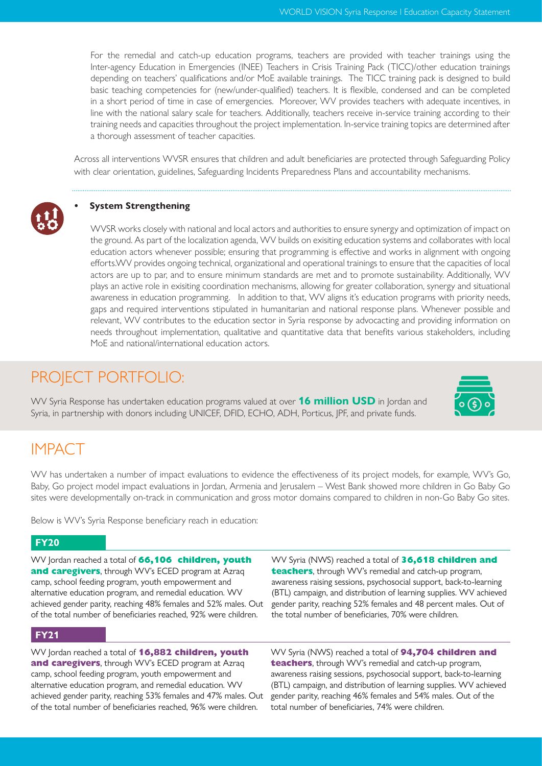For the remedial and catch-up education programs, teachers are provided with teacher trainings using the Inter-agency Education in Emergencies (INEE) Teachers in Crisis Training Pack (TICC)/other education trainings depending on teachers' qualifications and/or MoE available trainings. The TICC training pack is designed to build basic teaching competencies for (new/under-qualified) teachers. It is flexible, condensed and can be completed in a short period of time in case of emergencies. Moreover, WV provides teachers with adequate incentives, in line with the national salary scale for teachers. Additionally, teachers receive in-service training according to their training needs and capacities throughout the project implementation. In-service training topics are determined after a thorough assessment of teacher capacities.

Across all interventions WVSR ensures that children and adult beneficiaries are protected through Safeguarding Policy with clear orientation, guidelines, Safeguarding Incidents Preparedness Plans and accountability mechanisms.



WVSR works closely with national and local actors and authorities to ensure synergy and optimization of impact on the ground. As part of the localization agenda, WV builds on exisiting education systems and collaborates with local education actors whenever possible; ensuring that programming is effective and works in alignment with ongoing efforts.WV provides ongoing technical, organizational and operational trainings to ensure that the capacities of local actors are up to par, and to ensure minimum standards are met and to promote sustainability. Additionally, WV plays an active role in exisiting coordination mechanisms, allowing for greater collaboration, synergy and situational awareness in education programming. In addition to that, WV aligns it's education programs with priority needs, gaps and required interventions stipulated in humanitarian and national response plans. Whenever possible and relevant, WV contributes to the education sector in Syria response by advocacting and providing information on needs throughout implementation, qualitative and quantitative data that benefits various stakeholders, including MoE and national/international education actors.

### PROJECT PORTFOLIO:

WV Syria Response has undertaken education programs valued at over **16 million USD** in Jordan and Syria, in partnership with donors including UNICEF, DFID, ECHO, ADH, Porticus, JPF, and private funds.

### **IMPACT**

WV has undertaken a number of impact evaluations to evidence the effectiveness of its project models, for example, WV's Go, Baby, Go project model impact evaluations in Jordan, Armenia and Jerusalem – West Bank showed more children in Go Baby Go sites were developmentally on-track in communication and gross motor domains compared to children in non-Go Baby Go sites.

Below is WV's Syria Response beneficiary reach in education:

#### **FY20**

WV Jordan reached a total of **66,106 children, youth and caregivers**, through WV's ECED program at Azraq camp, school feeding program, youth empowerment and alternative education program, and remedial education. WV achieved gender parity, reaching 48% females and 52% males. Out of the total number of beneficiaries reached, 92% were children.

#### **FY21**

WV Jordan reached a total of **16,882 children, youth and caregivers**, through WV's ECED program at Azraq camp, school feeding program, youth empowerment and alternative education program, and remedial education. WV achieved gender parity, reaching 53% females and 47% males. Out of the total number of beneficiaries reached, 96% were children.

WV Syria (NWS) reached a total of **36,618 children and teachers**, through WV's remedial and catch-up program, awareness raising sessions, psychosocial support, back-to-learning (BTL) campaign, and distribution of learning supplies. WV achieved gender parity, reaching 52% females and 48 percent males. Out of the total number of beneficiaries, 70% were children.

WV Syria (NWS) reached a total of **94,704 children and teachers**, through WV's remedial and catch-up program, awareness raising sessions, psychosocial support, back-to-learning (BTL) campaign, and distribution of learning supplies. WV achieved gender parity, reaching 46% females and 54% males. Out of the total number of beneficiaries, 74% were children.

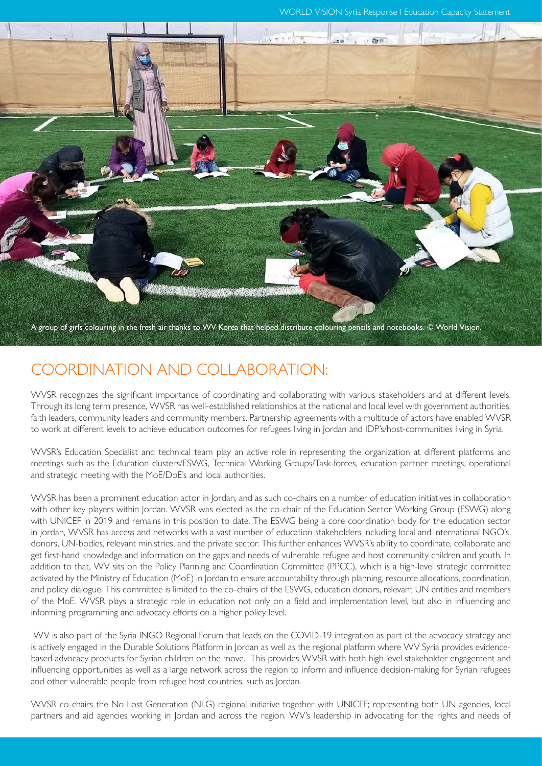WORLD VISION Syria Response l Education Capacity Statement



### COORDINATION AND COLLABORATION:

WVSR recognizes the significant importance of coordinating and collaborating with various stakeholders and at different levels. Through its long term presence, WVSR has well-established relationships at the national and local level with government authorities, faith leaders, community leaders and community members. Partnership agreements with a multitude of actors have enabled WVSR to work at different levels to achieve education outcomes for refugees living in Jordan and IDP's/host-communities living in Syria.

WVSR's Education Specialist and technical team play an active role in representing the organization at different platforms and meetings such as the Education clusters/ESWG, Technical Working Groups/Task-forces, education partner meetings, operational and strategic meeting with the MoE/DoE's and local authorities.

WVSR has been a prominent education actor in Jordan, and as such co-chairs on a number of education initiatives in collaboration with other key players within Jordan. WVSR was elected as the co-chair of the Education Sector Working Group (ESWG) along with UNICEF in 2019 and remains in this position to date. The ESWG being a core coordination body for the education sector in Jordan, WVSR has access and networks with a vast number of education stakeholders including local and international NGO's, donors, UN-bodies, relevant ministries, and the private sector. This further enhances WVSR's ability to coordinate, collaborate and get first-hand knowledge and information on the gaps and needs of vulnerable refugee and host community children and youth. In addition to that, WV sits on the Policy Planning and Coordination Committee (PPCC), which is a high-level strategic committee activated by the Ministry of Education (MoE) in Jordan to ensure accountability through planning, resource allocations, coordination, and policy dialogue. This committee is limited to the co-chairs of the ESWG, education donors, relevant UN entities and members of the MoE. WVSR plays a strategic role in education not only on a field and implementation level, but also in influencing and informing programming and advocacy efforts on a higher policy level.

 WV is also part of the Syria INGO Regional Forum that leads on the COVID-19 integration as part of the advocacy strategy and is actively engaged in the Durable Solutions Platform in Jordan as well as the regional platform where WV Syria provides evidencebased advocacy products for Syrian children on the move. This provides WVSR with both high level stakeholder engagement and influencing opportunities as well as a large network across the region to inform and influence decision-making for Syrian refugees and other vulnerable people from refugee host countries, such as Jordan.

WVSR co-chairs the No Lost Generation (NLG) regional initiative together with UNICEF; representing both UN agencies, local partners and aid agencies working in Jordan and across the region. WV's leadership in advocating for the rights and needs of